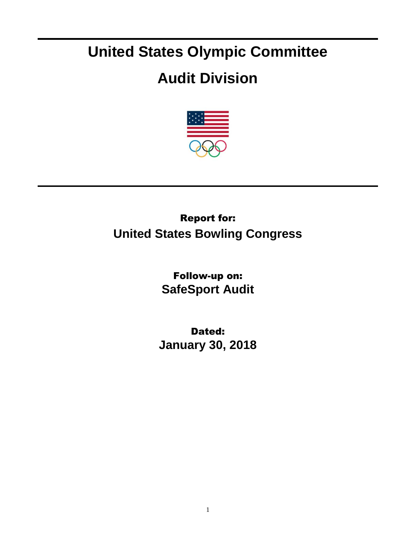# **United States Olympic Committee**

## **Audit Division**



## Report for: **United States Bowling Congress**

Follow-up on: **SafeSport Audit**

Dated: **January 30, 2018**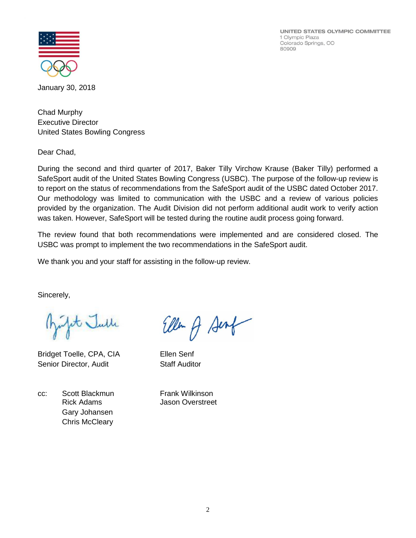UNITED STATES OLYMPIC COMMITTEE 1 Olympic Plaza Colorado Springs, CO 80909



January 30, 2018

Chad Murphy Executive Director United States Bowling Congress

Dear Chad,

During the second and third quarter of 2017, Baker Tilly Virchow Krause (Baker Tilly) performed a SafeSport audit of the United States Bowling Congress (USBC). The purpose of the follow-up review is to report on the status of recommendations from the SafeSport audit of the USBC dated October 2017. Our methodology was limited to communication with the USBC and a review of various policies provided by the organization. The Audit Division did not perform additional audit work to verify action was taken. However, SafeSport will be tested during the routine audit process going forward.

The review found that both recommendations were implemented and are considered closed. The USBC was prompt to implement the two recommendations in the SafeSport audit.

We thank you and your staff for assisting in the follow-up review.

Sincerely,

at Julle

Bridget Toelle, CPA, CIA Ellen Senf Senior Director, Audit Staff Auditor

cc: Scott Blackmun Frank Wilkinson Gary Johansen Chris McCleary

Ellen of Senf

Rick Adams Jason Overstreet